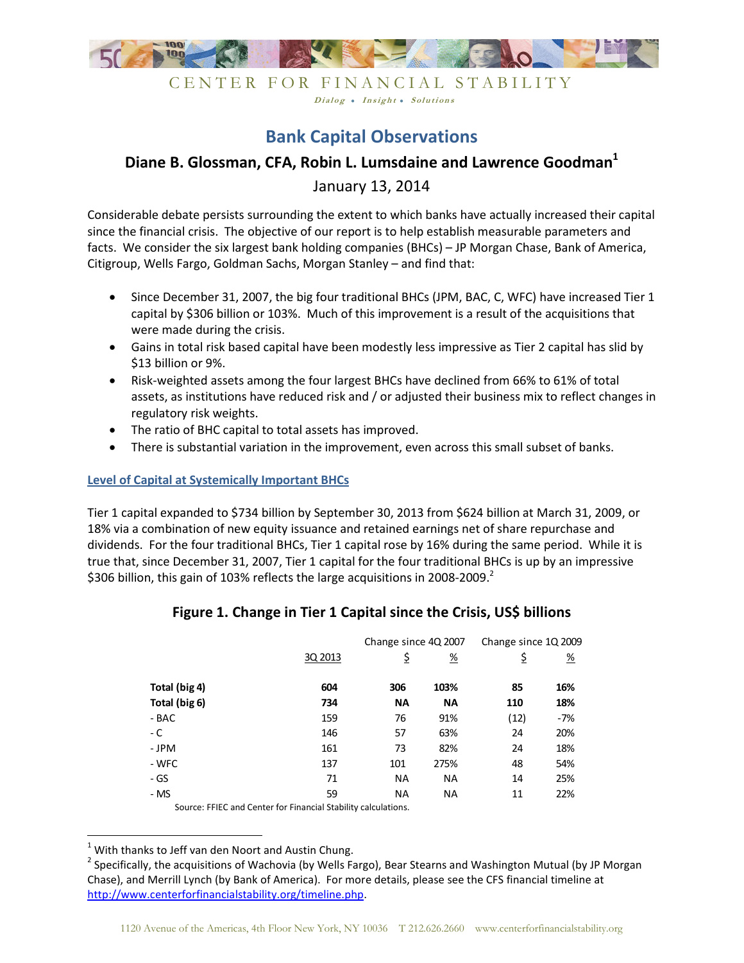

# **Bank Capital Observations**

Dialog . Insight . Solutions

# **Diane B. Glossman, CFA, Robin L. Lumsdaine and Lawrence Goodman<sup>1</sup>**

January 13, 2014

Considerable debate persists surrounding the extent to which banks have actually increased their capital since the financial crisis. The objective of our report is to help establish measurable parameters and facts. We consider the six largest bank holding companies (BHCs) – JP Morgan Chase, Bank of America, Citigroup, Wells Fargo, Goldman Sachs, Morgan Stanley – and find that:

- Since December 31, 2007, the big four traditional BHCs (JPM, BAC, C, WFC) have increased Tier 1 capital by \$306 billion or 103%. Much of this improvement is a result of the acquisitions that were made during the crisis.
- Gains in total risk based capital have been modestly less impressive as Tier 2 capital has slid by \$13 billion or 9%.
- Risk-weighted assets among the four largest BHCs have declined from 66% to 61% of total assets, as institutions have reduced risk and / or adjusted their business mix to reflect changes in regulatory risk weights.
- The ratio of BHC capital to total assets has improved.
- There is substantial variation in the improvement, even across this small subset of banks.

### **Level of Capital at Systemically Important BHCs**

Tier 1 capital expanded to \$734 billion by September 30, 2013 from \$624 billion at March 31, 2009, or 18% via a combination of new equity issuance and retained earnings net of share repurchase and dividends. For the four traditional BHCs, Tier 1 capital rose by 16% during the same period. While it is true that, since December 31, 2007, Tier 1 capital for the four traditional BHCs is up by an impressive \$306 billion, this gain of 103% reflects the large acquisitions in 2008-2009.<sup>2</sup>

|                                                                |         | Change since 4Q 2007 |           | Change since 1Q 2009 |               |  |
|----------------------------------------------------------------|---------|----------------------|-----------|----------------------|---------------|--|
|                                                                | 3Q 2013 | \$                   | <u>%</u>  | \$                   | $\frac{9}{6}$ |  |
| Total (big 4)                                                  | 604     | 306                  | 103%      | 85                   | 16%           |  |
| Total (big 6)                                                  | 734     | <b>NA</b>            | <b>NA</b> | 110                  | 18%           |  |
| - BAC                                                          | 159     | 76                   | 91%       | (12)                 | $-7%$         |  |
| - C                                                            | 146     | 57                   | 63%       | 24                   | 20%           |  |
| - JPM                                                          | 161     | 73                   | 82%       | 24                   | 18%           |  |
| - WFC                                                          | 137     | 101                  | 275%      | 48                   | 54%           |  |
| - GS                                                           | 71      | <b>NA</b>            | <b>NA</b> | 14                   | 25%           |  |
| - MS                                                           | 59      | <b>NA</b>            | <b>NA</b> | 11                   | 22%           |  |
| Source: FFIEC and Center for Financial Stability calculations. |         |                      |           |                      |               |  |

## **Figure 1. Change in Tier 1 Capital since the Crisis, US\$ billions**

 $1$  With thanks to Jeff van den Noort and Austin Chung.

.<br>-

<sup>&</sup>lt;sup>2</sup> Specifically, the acquisitions of Wachovia (by Wells Fargo), Bear Stearns and Washington Mutual (by JP Morgan Chase), and Merrill Lynch (by Bank of America). For more details, please see the CFS financial timeline at http://www.centerforfinancialstability.org/timeline.php.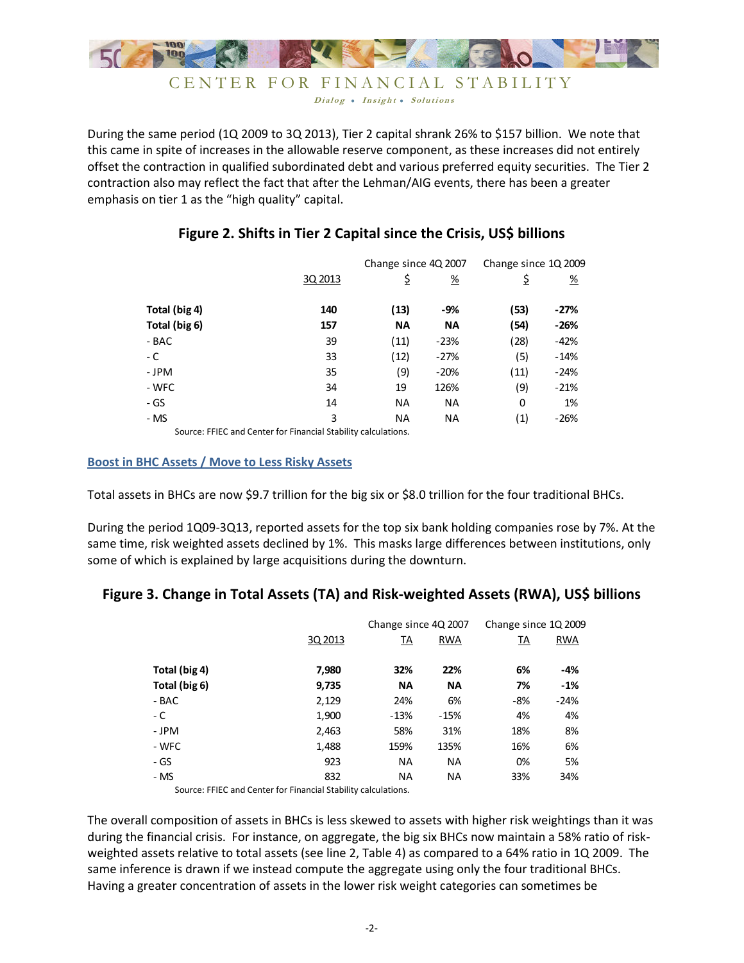

CENTER FOR FINANCIAL STABILITY Dialog . Insight . Solutions

During the same period (1Q 2009 to 3Q 2013), Tier 2 capital shrank 26% to \$157 billion. We note that this came in spite of increases in the allowable reserve component, as these increases did not entirely offset the contraction in qualified subordinated debt and various preferred equity securities. The Tier 2 contraction also may reflect the fact that after the Lehman/AIG events, there has been a greater emphasis on tier 1 as the "high quality" capital.

|               |         | Change since 4Q 2007 |                       | Change since 1Q 2009 |          |  |
|---------------|---------|----------------------|-----------------------|----------------------|----------|--|
|               | 3Q 2013 | \$                   | $\frac{\%}{\sqrt{2}}$ | \$                   | <u>%</u> |  |
| Total (big 4) | 140     | (13)                 | -9%                   | (53)                 | $-27%$   |  |
| Total (big 6) | 157     | <b>NA</b>            | <b>NA</b>             | (54)                 | $-26%$   |  |
| - BAC         | 39      | (11)                 | $-23%$                | (28)                 | -42%     |  |
| - C           | 33      | (12)                 | $-27%$                | (5)                  | $-14%$   |  |
| - JPM         | 35      | (9)                  | $-20%$                | (11)                 | $-24%$   |  |
| - WFC         | 34      | 19                   | 126%                  | (9)                  | $-21%$   |  |
| - GS          | 14      | <b>NA</b>            | <b>NA</b>             | 0                    | 1%       |  |
| - MS          | 3       | <b>NA</b>            | <b>NA</b>             | (1)                  | $-26%$   |  |
|               |         |                      |                       |                      |          |  |

## **Figure 2. Shifts in Tier 2 Capital since the Crisis, US\$ billions**

Source: FFIEC and Center for Financial Stability calculations.

### **Boost in BHC Assets / Move to Less Risky Assets**

Total assets in BHCs are now \$9.7 trillion for the big six or \$8.0 trillion for the four traditional BHCs.

During the period 1Q09-3Q13, reported assets for the top six bank holding companies rose by 7%. At the same time, risk weighted assets declined by 1%. This masks large differences between institutions, only some of which is explained by large acquisitions during the downturn.

## **Figure 3. Change in Total Assets (TA) and Risk-weighted Assets (RWA), US\$ billions**

|               |         | Change since 4Q 2007 |            | Change since 1Q 2009 |            |  |
|---------------|---------|----------------------|------------|----------------------|------------|--|
|               | 3Q 2013 | <u>TA</u>            | <b>RWA</b> | <u>TA</u>            | <b>RWA</b> |  |
| Total (big 4) | 7,980   | 32%                  | 22%        | 6%                   | $-4%$      |  |
| Total (big 6) | 9,735   | <b>NA</b>            | <b>NA</b>  | 7%                   | $-1%$      |  |
| - BAC         | 2,129   | 24%                  | 6%         | -8%                  | $-24%$     |  |
| - C           | 1,900   | $-13%$               | $-15%$     | 4%                   | 4%         |  |
| - JPM         | 2,463   | 58%                  | 31%        | 18%                  | 8%         |  |
| - WFC         | 1,488   | 159%                 | 135%       | 16%                  | 6%         |  |
| - GS          | 923     | <b>NA</b>            | <b>NA</b>  | 0%                   | 5%         |  |
| - MS          | 832     | <b>NA</b>            | <b>NA</b>  | 33%                  | 34%        |  |

Source: FFIEC and Center for Financial Stability calculations.

The overall composition of assets in BHCs is less skewed to assets with higher risk weightings than it was during the financial crisis. For instance, on aggregate, the big six BHCs now maintain a 58% ratio of riskweighted assets relative to total assets (see line 2, Table 4) as compared to a 64% ratio in 1Q 2009. The same inference is drawn if we instead compute the aggregate using only the four traditional BHCs. Having a greater concentration of assets in the lower risk weight categories can sometimes be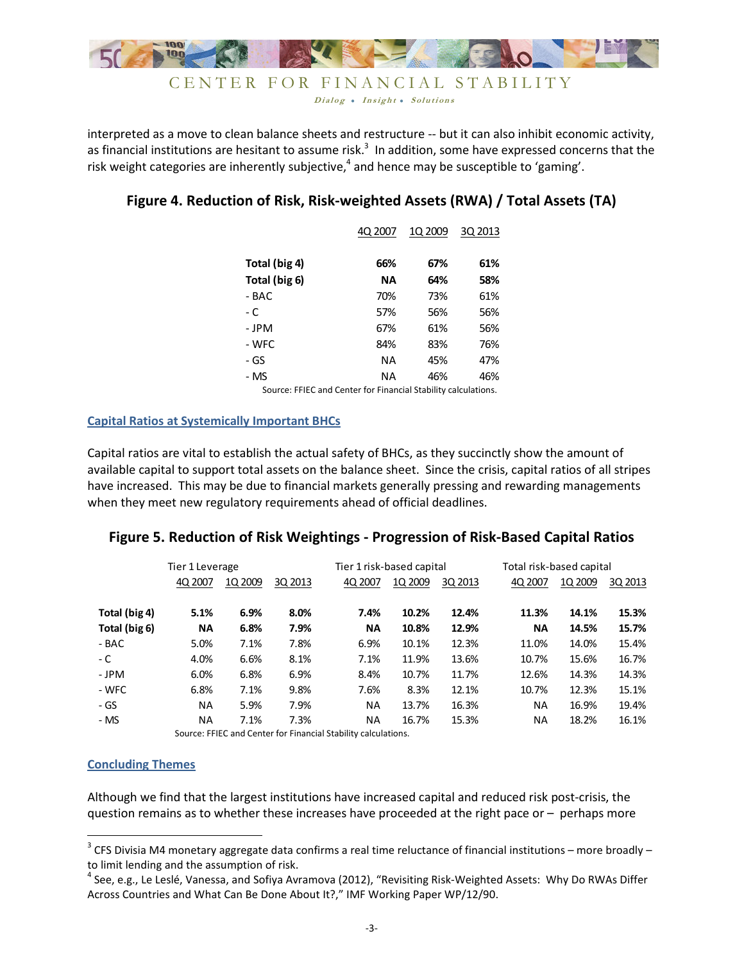

Dialog . Insight . Solutions

interpreted as a move to clean balance sheets and restructure -- but it can also inhibit economic activity, as financial institutions are hesitant to assume risk.<sup>3</sup> In addition, some have expressed concerns that the risk weight categories are inherently subjective,<sup>4</sup> and hence may be susceptible to 'gaming'.

# **Figure 4. Reduction of Risk, Risk-weighted Assets (RWA) / Total Assets (TA)**

|               | 40 2007   | 1Q 2009 | 3Q 2013 |
|---------------|-----------|---------|---------|
| Total (big 4) | 66%       | 67%     | 61%     |
| Total (big 6) | <b>NA</b> | 64%     | 58%     |
| - BAC         | 70%       | 73%     | 61%     |
| - C           | 57%       | 56%     | 56%     |
| - JPM         | 67%       | 61%     | 56%     |
| - WFC         | 84%       | 83%     | 76%     |
| - GS          | ΝA        | 45%     | 47%     |
| - MS          | ΝA        | 46%     | 46%     |
|               |           |         |         |

Source: FFIEC and Center for Financial Stability calculations.

## **Capital Ratios at Systemically Important BHCs**

Capital ratios are vital to establish the actual safety of BHCs, as they succinctly show the amount of available capital to support total assets on the balance sheet. Since the crisis, capital ratios of all stripes have increased. This may be due to financial markets generally pressing and rewarding managements when they meet new regulatory requirements ahead of official deadlines.

# **Figure 5. Reduction of Risk Weightings - Progression of Risk-Based Capital Ratios**

|               | Tier 1 Leverage |         |         | Tier 1 risk-based capital                                      |         |         | Total risk-based capital |         |         |
|---------------|-----------------|---------|---------|----------------------------------------------------------------|---------|---------|--------------------------|---------|---------|
|               | 4Q 2007         | 1Q 2009 | 3Q 2013 | 4Q 2007                                                        | 1Q 2009 | 3Q 2013 | 4Q 2007                  | 1Q 2009 | 3Q 2013 |
| Total (big 4) | 5.1%            | 6.9%    | 8.0%    | 7.4%                                                           | 10.2%   | 12.4%   | 11.3%                    | 14.1%   | 15.3%   |
| Total (big 6) | <b>NA</b>       | 6.8%    | 7.9%    | <b>NA</b>                                                      | 10.8%   | 12.9%   | ΝA                       | 14.5%   | 15.7%   |
| - BAC         | 5.0%            | 7.1%    | 7.8%    | 6.9%                                                           | 10.1%   | 12.3%   | 11.0%                    | 14.0%   | 15.4%   |
| - C           | 4.0%            | 6.6%    | 8.1%    | 7.1%                                                           | 11.9%   | 13.6%   | 10.7%                    | 15.6%   | 16.7%   |
| - JPM         | 6.0%            | 6.8%    | 6.9%    | 8.4%                                                           | 10.7%   | 11.7%   | 12.6%                    | 14.3%   | 14.3%   |
| - WFC         | 6.8%            | 7.1%    | 9.8%    | 7.6%                                                           | 8.3%    | 12.1%   | 10.7%                    | 12.3%   | 15.1%   |
| - GS          | NA              | 5.9%    | 7.9%    | ΝA                                                             | 13.7%   | 16.3%   | ΝA                       | 16.9%   | 19.4%   |
| - MS          | NA              | 7.1%    | 7.3%    | ΝA                                                             | 16.7%   | 15.3%   | ΝA                       | 18.2%   | 16.1%   |
|               |                 |         |         | Source: FFIEC and Center for Financial Stability calculations. |         |         |                          |         |         |

#### **Concluding Themes**

 $\overline{\phantom{0}}$ 

Although we find that the largest institutions have increased capital and reduced risk post-crisis, the question remains as to whether these increases have proceeded at the right pace or – perhaps more

<sup>&</sup>lt;sup>3</sup> CFS Divisia M4 monetary aggregate data confirms a real time reluctance of financial institutions – more broadly – to limit lending and the assumption of risk.

<sup>&</sup>lt;sup>4</sup> See, e.g., Le Leslé, Vanessa, and Sofiya Avramova (2012), "Revisiting Risk-Weighted Assets: Why Do RWAs Differ Across Countries and What Can Be Done About It?," IMF Working Paper WP/12/90.